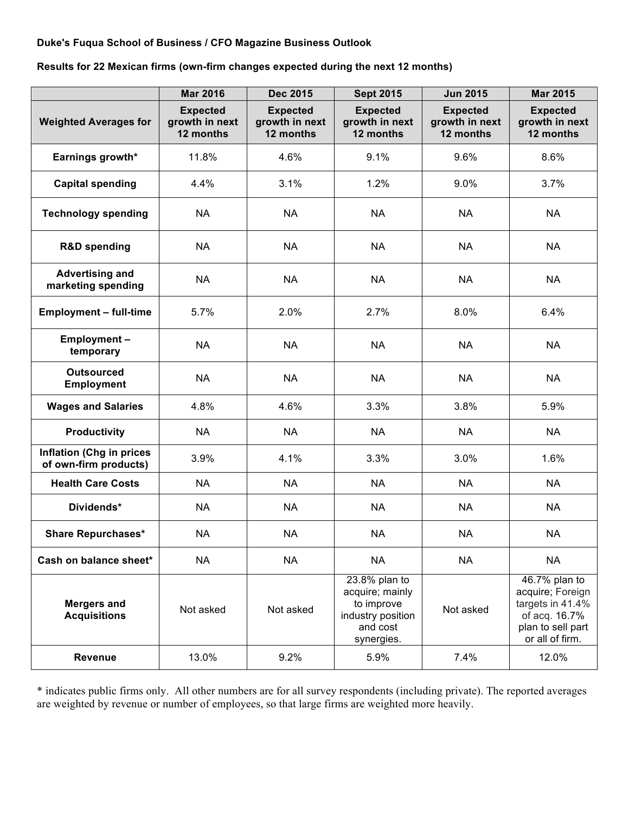## **Duke's Fuqua School of Business / CFO Magazine Business Outlook**

**Results for 22 Mexican firms (own-firm changes expected during the next 12 months)**

|                                                          | <b>Mar 2016</b>                                | Dec 2015                                       | <b>Sept 2015</b>                                                                              | <b>Jun 2015</b>                                | <b>Mar 2015</b>                                                                                                |
|----------------------------------------------------------|------------------------------------------------|------------------------------------------------|-----------------------------------------------------------------------------------------------|------------------------------------------------|----------------------------------------------------------------------------------------------------------------|
| <b>Weighted Averages for</b>                             | <b>Expected</b><br>growth in next<br>12 months | <b>Expected</b><br>growth in next<br>12 months | <b>Expected</b><br>growth in next<br>12 months                                                | <b>Expected</b><br>growth in next<br>12 months | <b>Expected</b><br>growth in next<br>12 months                                                                 |
| Earnings growth*                                         | 11.8%                                          | 4.6%                                           | 9.1%                                                                                          | 9.6%                                           | 8.6%                                                                                                           |
| <b>Capital spending</b>                                  | 4.4%                                           | 3.1%                                           | 1.2%                                                                                          | 9.0%                                           | 3.7%                                                                                                           |
| <b>Technology spending</b>                               | <b>NA</b>                                      | <b>NA</b>                                      | <b>NA</b>                                                                                     | <b>NA</b>                                      | <b>NA</b>                                                                                                      |
| <b>R&amp;D spending</b>                                  | <b>NA</b>                                      | <b>NA</b>                                      | <b>NA</b>                                                                                     | <b>NA</b>                                      | <b>NA</b>                                                                                                      |
| <b>Advertising and</b><br>marketing spending             | <b>NA</b>                                      | <b>NA</b>                                      | <b>NA</b>                                                                                     | <b>NA</b>                                      | <b>NA</b>                                                                                                      |
| <b>Employment - full-time</b>                            | 5.7%                                           | 2.0%                                           | 2.7%                                                                                          | 8.0%                                           | 6.4%                                                                                                           |
| Employment-<br>temporary                                 | <b>NA</b>                                      | <b>NA</b>                                      | <b>NA</b>                                                                                     | <b>NA</b>                                      | <b>NA</b>                                                                                                      |
| <b>Outsourced</b><br><b>Employment</b>                   | <b>NA</b>                                      | <b>NA</b>                                      | <b>NA</b>                                                                                     | <b>NA</b>                                      | <b>NA</b>                                                                                                      |
| <b>Wages and Salaries</b>                                | 4.8%                                           | 4.6%                                           | 3.3%                                                                                          | 3.8%                                           | 5.9%                                                                                                           |
| <b>Productivity</b>                                      | <b>NA</b>                                      | <b>NA</b>                                      | <b>NA</b>                                                                                     | <b>NA</b>                                      | <b>NA</b>                                                                                                      |
| <b>Inflation (Chg in prices</b><br>of own-firm products) | 3.9%                                           | 4.1%                                           | 3.3%                                                                                          | 3.0%                                           | 1.6%                                                                                                           |
| <b>Health Care Costs</b>                                 | <b>NA</b>                                      | <b>NA</b>                                      | <b>NA</b>                                                                                     | <b>NA</b>                                      | <b>NA</b>                                                                                                      |
| Dividends*                                               | <b>NA</b>                                      | <b>NA</b>                                      | <b>NA</b>                                                                                     | <b>NA</b>                                      | <b>NA</b>                                                                                                      |
| <b>Share Repurchases*</b>                                | <b>NA</b>                                      | <b>NA</b>                                      | <b>NA</b>                                                                                     | <b>NA</b>                                      | <b>NA</b>                                                                                                      |
| Cash on balance sheet*                                   | <b>NA</b>                                      | <b>NA</b>                                      | <b>NA</b>                                                                                     | <b>NA</b>                                      | <b>NA</b>                                                                                                      |
| <b>Mergers and</b><br><b>Acquisitions</b>                | Not asked                                      | Not asked                                      | 23.8% plan to<br>acquire; mainly<br>to improve<br>industry position<br>and cost<br>synergies. | Not asked                                      | 46.7% plan to<br>acquire; Foreign<br>targets in 41.4%<br>of acq. 16.7%<br>plan to sell part<br>or all of firm. |
| Revenue                                                  | 13.0%                                          | 9.2%                                           | 5.9%                                                                                          | 7.4%                                           | 12.0%                                                                                                          |

\* indicates public firms only. All other numbers are for all survey respondents (including private). The reported averages are weighted by revenue or number of employees, so that large firms are weighted more heavily.